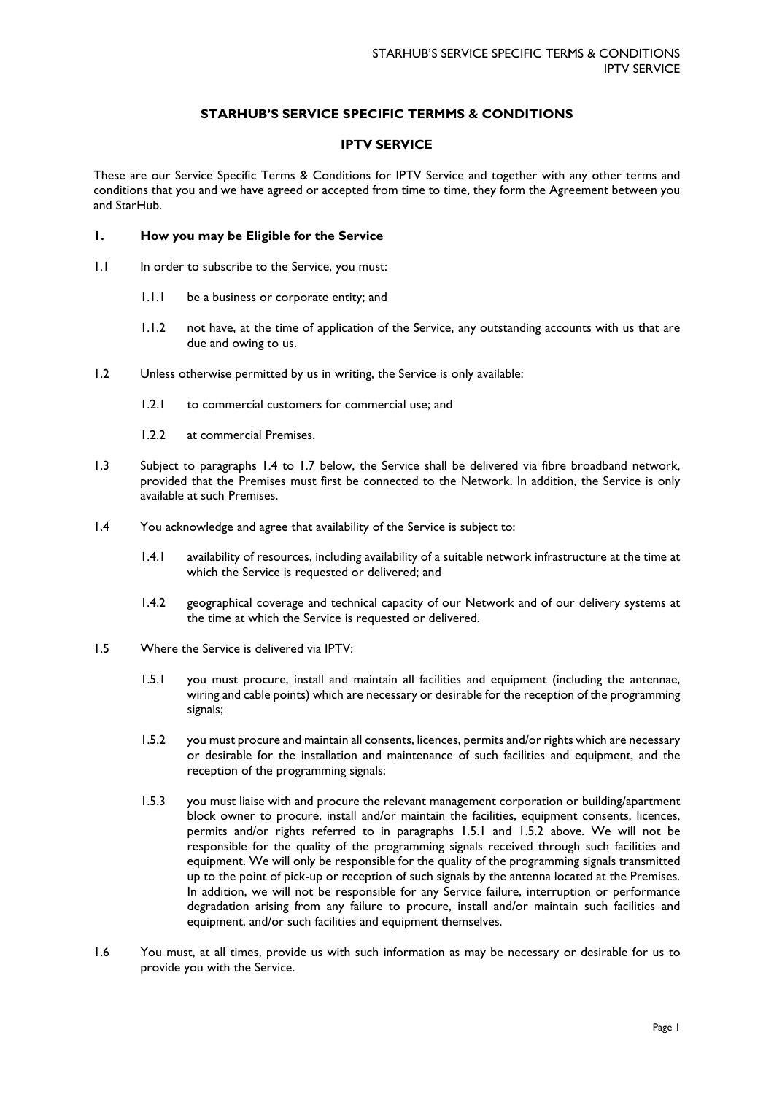# **STARHUB'S SERVICE SPECIFIC TERMMS & CONDITIONS**

## **IPTV SERVICE**

These are our Service Specific Terms & Conditions for IPTV Service and together with any other terms and conditions that you and we have agreed or accepted from time to time, they form the Agreement between you and StarHub.

### **1. How you may be Eligible for the Service**

- 1.1 In order to subscribe to the Service, you must:
	- 1.1.1 be a business or corporate entity; and
	- 1.1.2 not have, at the time of application of the Service, any outstanding accounts with us that are due and owing to us.
- 1.2 Unless otherwise permitted by us in writing, the Service is only available:
	- 1.2.1 to commercial customers for commercial use; and
	- 1.2.2 at commercial Premises.
- 1.3 Subject to paragraphs [1.4](#page-0-0) to [1.7](#page-1-0) below, the Service shall be delivered via fibre broadband network, provided that the Premises must first be connected to the Network. In addition, the Service is only available at such Premises.
- <span id="page-0-0"></span>1.4 You acknowledge and agree that availability of the Service is subject to:
	- 1.4.1 availability of resources, including availability of a suitable network infrastructure at the time at which the Service is requested or delivered; and
	- 1.4.2 geographical coverage and technical capacity of our Network and of our delivery systems at the time at which the Service is requested or delivered.
- <span id="page-0-2"></span><span id="page-0-1"></span>1.5 Where the Service is delivered via IPTV:
	- 1.5.1 you must procure, install and maintain all facilities and equipment (including the antennae, wiring and cable points) which are necessary or desirable for the reception of the programming signals;
	- 1.5.2 you must procure and maintain all consents, licences, permits and/or rights which are necessary or desirable for the installation and maintenance of such facilities and equipment, and the reception of the programming signals;
	- 1.5.3 you must liaise with and procure the relevant management corporation or building/apartment block owner to procure, install and/or maintain the facilities, equipment consents, licences, permits and/or rights referred to in paragraphs [1.5.1](#page-0-1) and [1.5.2](#page-0-2) above. We will not be responsible for the quality of the programming signals received through such facilities and equipment. We will only be responsible for the quality of the programming signals transmitted up to the point of pick-up or reception of such signals by the antenna located at the Premises. In addition, we will not be responsible for any Service failure, interruption or performance degradation arising from any failure to procure, install and/or maintain such facilities and equipment, and/or such facilities and equipment themselves.
- 1.6 You must, at all times, provide us with such information as may be necessary or desirable for us to provide you with the Service.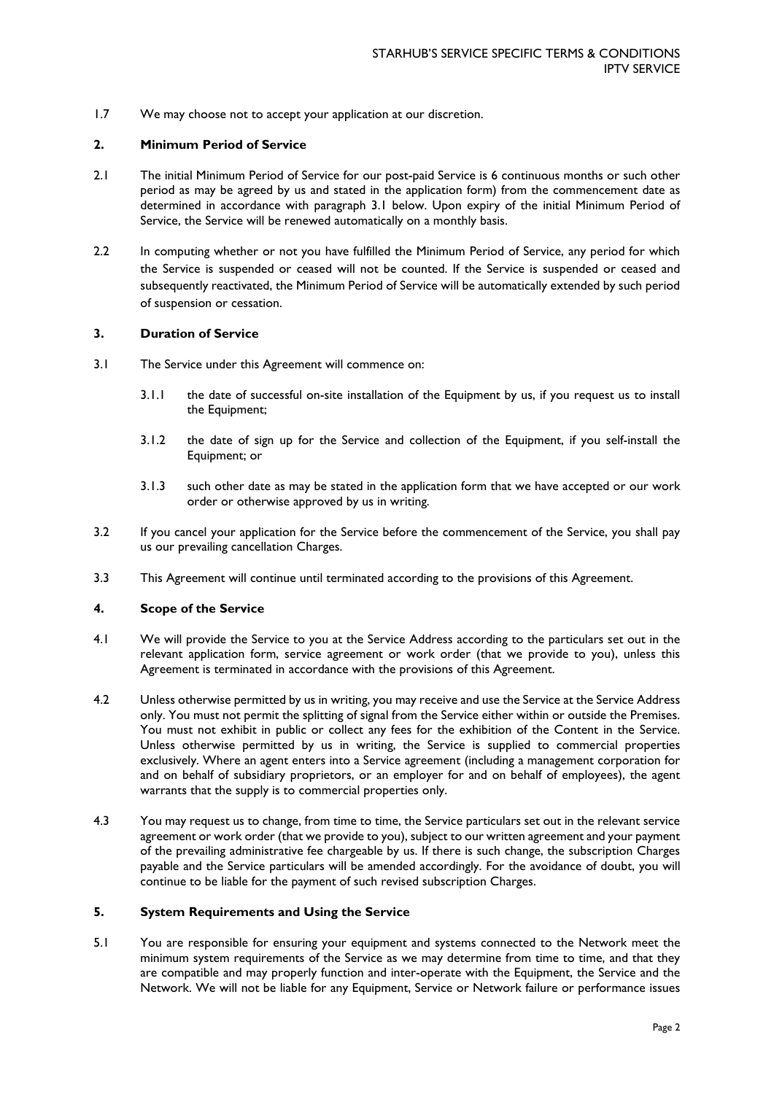<span id="page-1-0"></span>1.7 We may choose not to accept your application at our discretion.

## **2. Minimum Period of Service**

- 2.1 The initial Minimum Period of Service for our post-paid Service is 6 continuous months or such other period as may be agreed by us and stated in the application form) from the commencement date as determined in accordance with paragraph [3.1](#page-1-1) below. Upon expiry of the initial Minimum Period of Service, the Service will be renewed automatically on a monthly basis.
- 2.2 In computing whether or not you have fulfilled the Minimum Period of Service, any period for which the Service is suspended or ceased will not be counted. If the Service is suspended or ceased and subsequently reactivated, the Minimum Period of Service will be automatically extended by such period of suspension or cessation.

### <span id="page-1-1"></span>**3. Duration of Service**

- 3.1 The Service under this Agreement will commence on:
	- 3.1.1 the date of successful on-site installation of the Equipment by us, if you request us to install the Equipment;
	- 3.1.2 the date of sign up for the Service and collection of the Equipment, if you self-install the Equipment; or
	- 3.1.3 such other date as may be stated in the application form that we have accepted or our work order or otherwise approved by us in writing.
- 3.2 If you cancel your application for the Service before the commencement of the Service, you shall pay us our prevailing cancellation Charges.
- 3.3 This Agreement will continue until terminated according to the provisions of this Agreement.

#### **4. Scope of the Service**

- 4.1 We will provide the Service to you at the Service Address according to the particulars set out in the relevant application form, service agreement or work order (that we provide to you), unless this Agreement is terminated in accordance with the provisions of this Agreement.
- 4.2 Unless otherwise permitted by us in writing, you may receive and use the Service at the Service Address only. You must not permit the splitting of signal from the Service either within or outside the Premises. You must not exhibit in public or collect any fees for the exhibition of the Content in the Service. Unless otherwise permitted by us in writing, the Service is supplied to commercial properties exclusively. Where an agent enters into a Service agreement (including a management corporation for and on behalf of subsidiary proprietors, or an employer for and on behalf of employees), the agent warrants that the supply is to commercial properties only.
- 4.3 You may request us to change, from time to time, the Service particulars set out in the relevant service agreement or work order (that we provide to you), subject to our written agreement and your payment of the prevailing administrative fee chargeable by us. If there is such change, the subscription Charges payable and the Service particulars will be amended accordingly. For the avoidance of doubt, you will continue to be liable for the payment of such revised subscription Charges.

#### **5. System Requirements and Using the Service**

5.1 You are responsible for ensuring your equipment and systems connected to the Network meet the minimum system requirements of the Service as we may determine from time to time, and that they are compatible and may properly function and inter-operate with the Equipment, the Service and the Network. We will not be liable for any Equipment, Service or Network failure or performance issues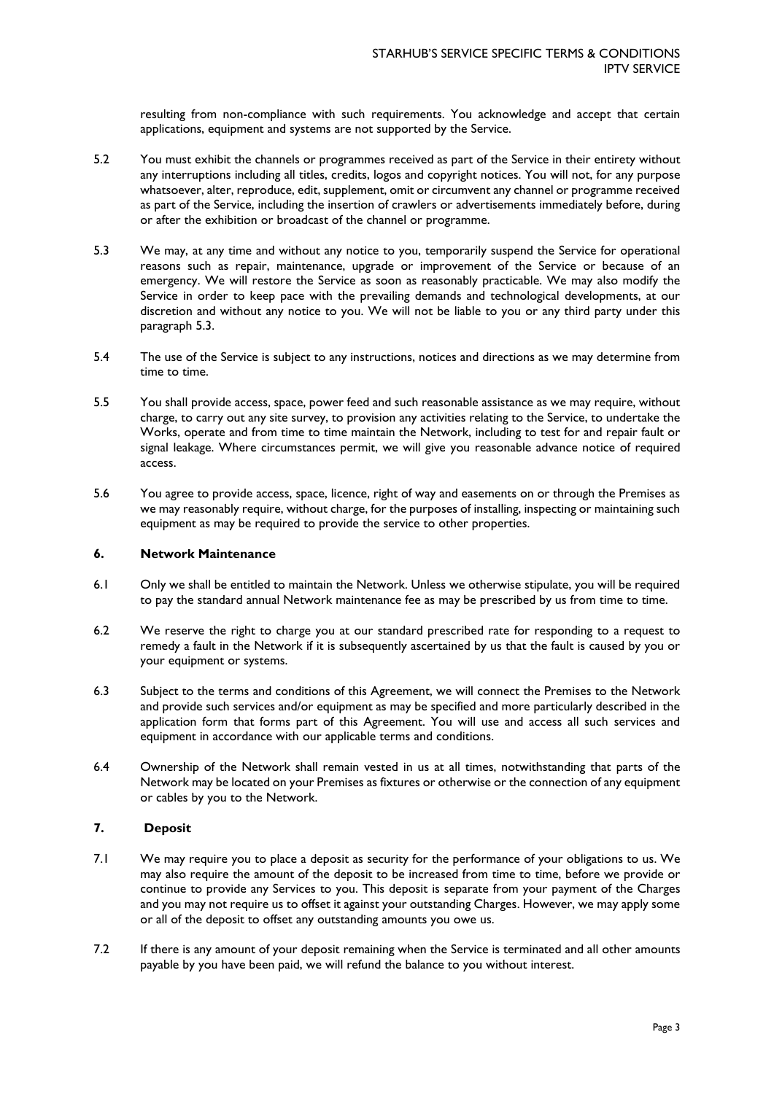resulting from non-compliance with such requirements. You acknowledge and accept that certain applications, equipment and systems are not supported by the Service.

- 5.2 You must exhibit the channels or programmes received as part of the Service in their entirety without any interruptions including all titles, credits, logos and copyright notices. You will not, for any purpose whatsoever, alter, reproduce, edit, supplement, omit or circumvent any channel or programme received as part of the Service, including the insertion of crawlers or advertisements immediately before, during or after the exhibition or broadcast of the channel or programme.
- 5.3 We may, at any time and without any notice to you, temporarily suspend the Service for operational reasons such as repair, maintenance, upgrade or improvement of the Service or because of an emergency. We will restore the Service as soon as reasonably practicable. We may also modify the Service in order to keep pace with the prevailing demands and technological developments, at our discretion and without any notice to you. We will not be liable to you or any third party under this paragraph 5.3.
- 5.4 The use of the Service is subject to any instructions, notices and directions as we may determine from time to time.
- 5.5 You shall provide access, space, power feed and such reasonable assistance as we may require, without charge, to carry out any site survey, to provision any activities relating to the Service, to undertake the Works, operate and from time to time maintain the Network, including to test for and repair fault or signal leakage. Where circumstances permit, we will give you reasonable advance notice of required access.
- 5.6 You agree to provide access, space, licence, right of way and easements on or through the Premises as we may reasonably require, without charge, for the purposes of installing, inspecting or maintaining such equipment as may be required to provide the service to other properties.

#### **6. Network Maintenance**

- 6.1 Only we shall be entitled to maintain the Network. Unless we otherwise stipulate, you will be required to pay the standard annual Network maintenance fee as may be prescribed by us from time to time.
- 6.2 We reserve the right to charge you at our standard prescribed rate for responding to a request to remedy a fault in the Network if it is subsequently ascertained by us that the fault is caused by you or your equipment or systems.
- 6.3 Subject to the terms and conditions of this Agreement, we will connect the Premises to the Network and provide such services and/or equipment as may be specified and more particularly described in the application form that forms part of this Agreement. You will use and access all such services and equipment in accordance with our applicable terms and conditions.
- 6.4 Ownership of the Network shall remain vested in us at all times, notwithstanding that parts of the Network may be located on your Premises as fixtures or otherwise or the connection of any equipment or cables by you to the Network.

### <span id="page-2-0"></span>**7. Deposit**

- 7.1 We may require you to place a deposit as security for the performance of your obligations to us. We may also require the amount of the deposit to be increased from time to time, before we provide or continue to provide any Services to you. This deposit is separate from your payment of the Charges and you may not require us to offset it against your outstanding Charges. However, we may apply some or all of the deposit to offset any outstanding amounts you owe us.
- 7.2 If there is any amount of your deposit remaining when the Service is terminated and all other amounts payable by you have been paid, we will refund the balance to you without interest.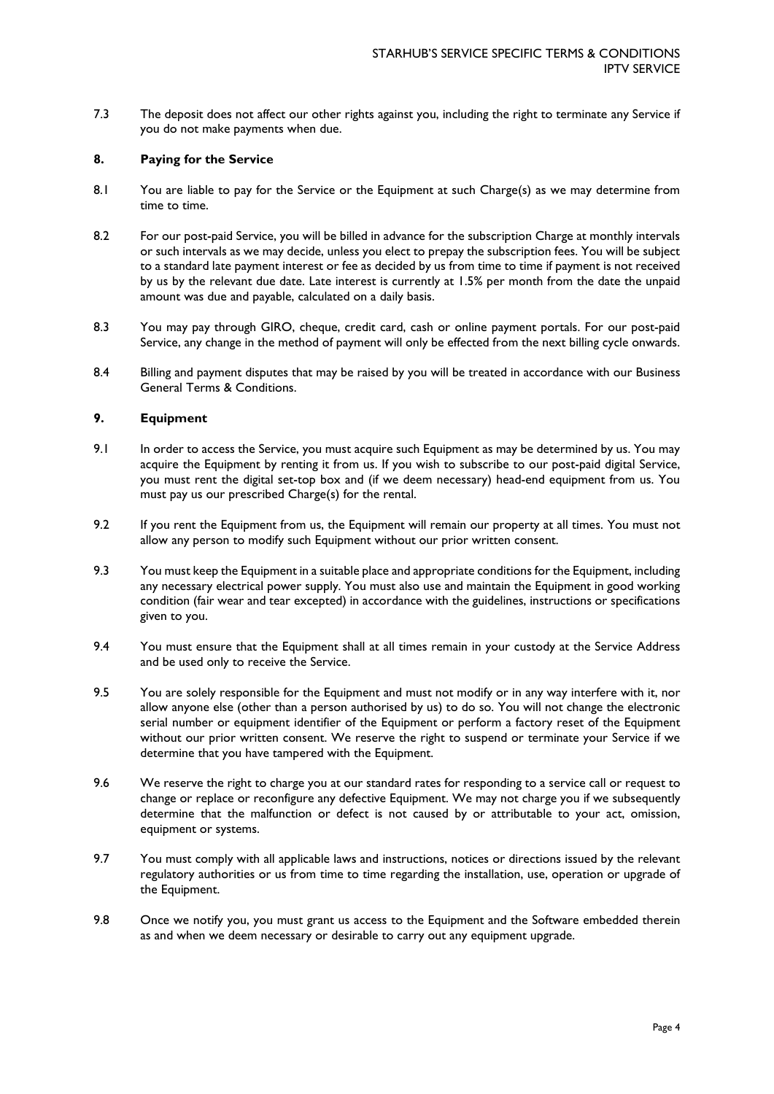7.3 The deposit does not affect our other rights against you, including the right to terminate any Service if you do not make payments when due.

#### **8. Paying for the Service**

- 8.1 You are liable to pay for the Service or the Equipment at such Charge(s) as we may determine from time to time.
- 8.2 For our post-paid Service, you will be billed in advance for the subscription Charge at monthly intervals or such intervals as we may decide, unless you elect to prepay the subscription fees. You will be subject to a standard late payment interest or fee as decided by us from time to time if payment is not received by us by the relevant due date. Late interest is currently at 1.5% per month from the date the unpaid amount was due and payable, calculated on a daily basis.
- 8.3 You may pay through GIRO, cheque, credit card, cash or online payment portals. For our post-paid Service, any change in the method of payment will only be effected from the next billing cycle onwards.
- 8.4 Billing and payment disputes that may be raised by you will be treated in accordance with our Business General Terms & Conditions.

### **9. Equipment**

- 9.1 In order to access the Service, you must acquire such Equipment as may be determined by us. You may acquire the Equipment by renting it from us. If you wish to subscribe to our post-paid digital Service, you must rent the digital set-top box and (if we deem necessary) head-end equipment from us. You must pay us our prescribed Charge(s) for the rental.
- 9.2 If you rent the Equipment from us, the Equipment will remain our property at all times. You must not allow any person to modify such Equipment without our prior written consent.
- 9.3 You must keep the Equipment in a suitable place and appropriate conditions for the Equipment, including any necessary electrical power supply. You must also use and maintain the Equipment in good working condition (fair wear and tear excepted) in accordance with the guidelines, instructions or specifications given to you.
- 9.4 You must ensure that the Equipment shall at all times remain in your custody at the Service Address and be used only to receive the Service.
- 9.5 You are solely responsible for the Equipment and must not modify or in any way interfere with it, nor allow anyone else (other than a person authorised by us) to do so. You will not change the electronic serial number or equipment identifier of the Equipment or perform a factory reset of the Equipment without our prior written consent. We reserve the right to suspend or terminate your Service if we determine that you have tampered with the Equipment.
- 9.6 We reserve the right to charge you at our standard rates for responding to a service call or request to change or replace or reconfigure any defective Equipment. We may not charge you if we subsequently determine that the malfunction or defect is not caused by or attributable to your act, omission, equipment or systems.
- 9.7 You must comply with all applicable laws and instructions, notices or directions issued by the relevant regulatory authorities or us from time to time regarding the installation, use, operation or upgrade of the Equipment.
- 9.8 Once we notify you, you must grant us access to the Equipment and the Software embedded therein as and when we deem necessary or desirable to carry out any equipment upgrade.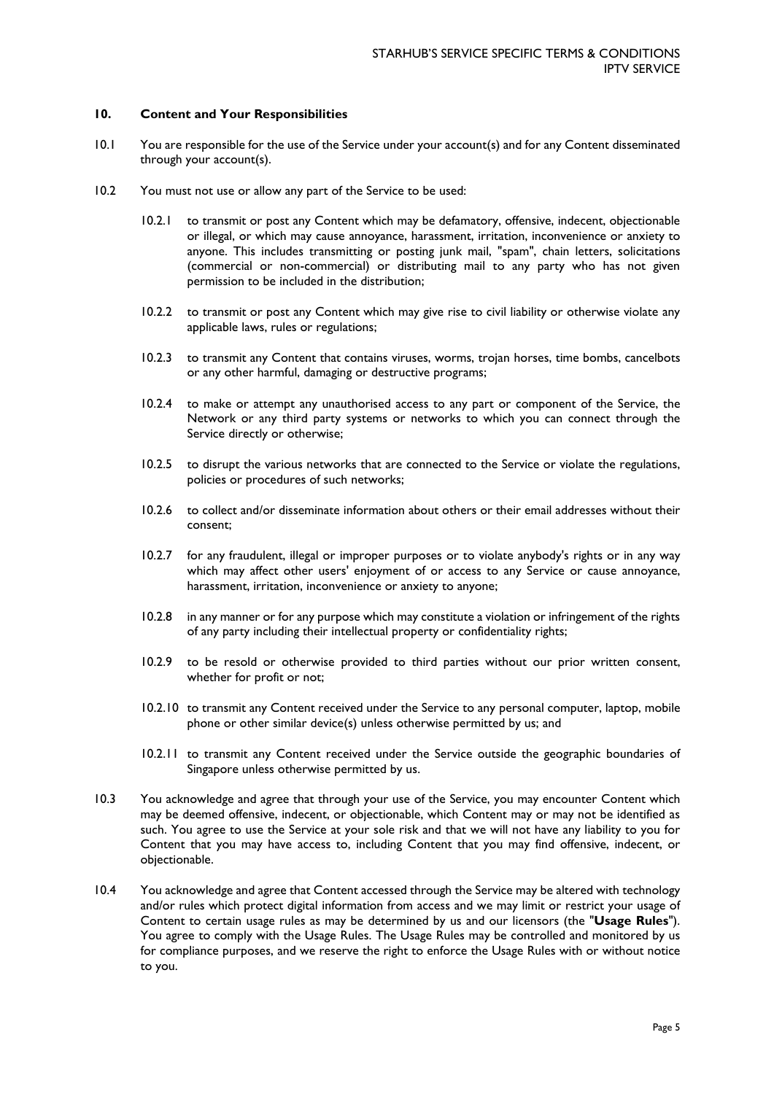### **10. Content and Your Responsibilities**

- 10.1 You are responsible for the use of the Service under your account(s) and for any Content disseminated through your account(s).
- 10.2 You must not use or allow any part of the Service to be used:
	- 10.2.1 to transmit or post any Content which may be defamatory, offensive, indecent, objectionable or illegal, or which may cause annoyance, harassment, irritation, inconvenience or anxiety to anyone. This includes transmitting or posting junk mail, "spam", chain letters, solicitations (commercial or non-commercial) or distributing mail to any party who has not given permission to be included in the distribution;
	- 10.2.2 to transmit or post any Content which may give rise to civil liability or otherwise violate any applicable laws, rules or regulations;
	- 10.2.3 to transmit any Content that contains viruses, worms, trojan horses, time bombs, cancelbots or any other harmful, damaging or destructive programs;
	- 10.2.4 to make or attempt any unauthorised access to any part or component of the Service, the Network or any third party systems or networks to which you can connect through the Service directly or otherwise;
	- 10.2.5 to disrupt the various networks that are connected to the Service or violate the regulations, policies or procedures of such networks;
	- 10.2.6 to collect and/or disseminate information about others or their email addresses without their consent;
	- 10.2.7 for any fraudulent, illegal or improper purposes or to violate anybody's rights or in any way which may affect other users' enjoyment of or access to any Service or cause annoyance, harassment, irritation, inconvenience or anxiety to anyone;
	- 10.2.8 in any manner or for any purpose which may constitute a violation or infringement of the rights of any party including their intellectual property or confidentiality rights;
	- 10.2.9 to be resold or otherwise provided to third parties without our prior written consent, whether for profit or not;
	- 10.2.10 to transmit any Content received under the Service to any personal computer, laptop, mobile phone or other similar device(s) unless otherwise permitted by us; and
	- 10.2.11 to transmit any Content received under the Service outside the geographic boundaries of Singapore unless otherwise permitted by us.
- 10.3 You acknowledge and agree that through your use of the Service, you may encounter Content which may be deemed offensive, indecent, or objectionable, which Content may or may not be identified as such. You agree to use the Service at your sole risk and that we will not have any liability to you for Content that you may have access to, including Content that you may find offensive, indecent, or objectionable.
- 10.4 You acknowledge and agree that Content accessed through the Service may be altered with technology and/or rules which protect digital information from access and we may limit or restrict your usage of Content to certain usage rules as may be determined by us and our licensors (the "**Usage Rules**"). You agree to comply with the Usage Rules. The Usage Rules may be controlled and monitored by us for compliance purposes, and we reserve the right to enforce the Usage Rules with or without notice to you.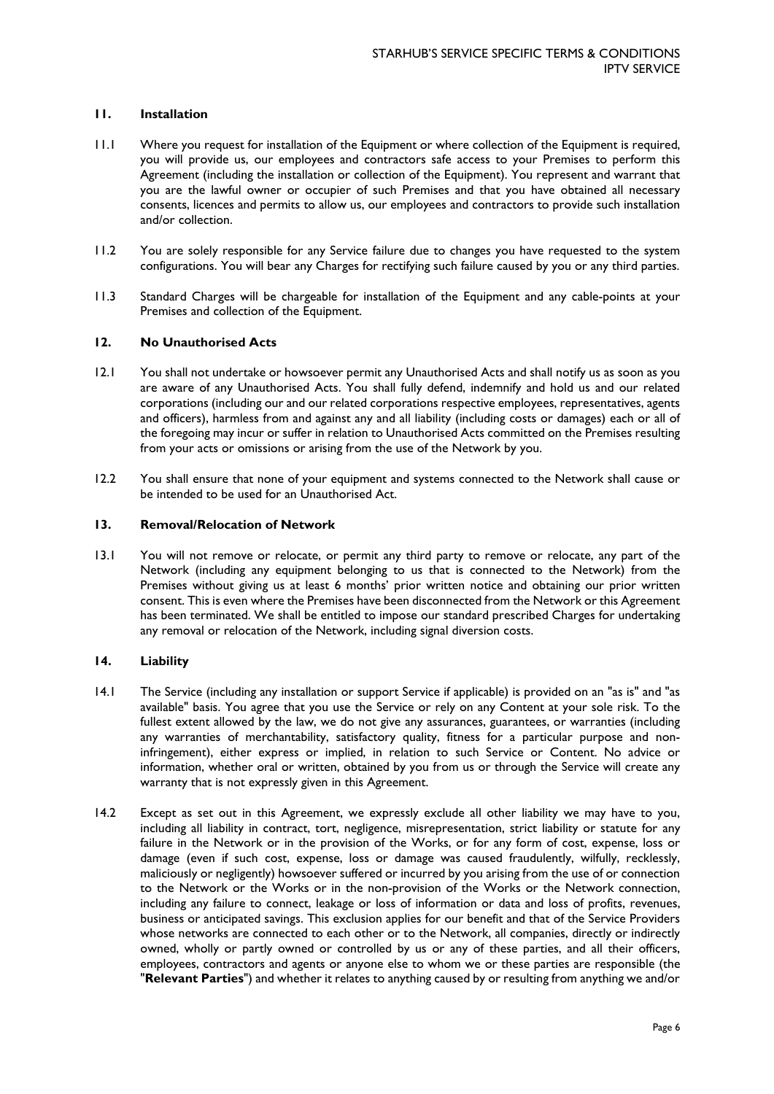### **11. Installation**

- 11.1 Where you request for installation of the Equipment or where collection of the Equipment is required, you will provide us, our employees and contractors safe access to your Premises to perform this Agreement (including the installation or collection of the Equipment). You represent and warrant that you are the lawful owner or occupier of such Premises and that you have obtained all necessary consents, licences and permits to allow us, our employees and contractors to provide such installation and/or collection.
- 11.2 You are solely responsible for any Service failure due to changes you have requested to the system configurations. You will bear any Charges for rectifying such failure caused by you or any third parties.
- 11.3 Standard Charges will be chargeable for installation of the Equipment and any cable-points at your Premises and collection of the Equipment.

### **12. No Unauthorised Acts**

- 12.1 You shall not undertake or howsoever permit any Unauthorised Acts and shall notify us as soon as you are aware of any Unauthorised Acts. You shall fully defend, indemnify and hold us and our related corporations (including our and our related corporations respective employees, representatives, agents and officers), harmless from and against any and all liability (including costs or damages) each or all of the foregoing may incur or suffer in relation to Unauthorised Acts committed on the Premises resulting from your acts or omissions or arising from the use of the Network by you.
- 12.2 You shall ensure that none of your equipment and systems connected to the Network shall cause or be intended to be used for an Unauthorised Act.

#### **13. Removal/Relocation of Network**

13.1 You will not remove or relocate, or permit any third party to remove or relocate, any part of the Network (including any equipment belonging to us that is connected to the Network) from the Premises without giving us at least 6 months' prior written notice and obtaining our prior written consent. This is even where the Premises have been disconnected from the Network or this Agreement has been terminated. We shall be entitled to impose our standard prescribed Charges for undertaking any removal or relocation of the Network, including signal diversion costs.

### **14. Liability**

- 14.1 The Service (including any installation or support Service if applicable) is provided on an "as is" and "as available" basis. You agree that you use the Service or rely on any Content at your sole risk. To the fullest extent allowed by the law, we do not give any assurances, guarantees, or warranties (including any warranties of merchantability, satisfactory quality, fitness for a particular purpose and noninfringement), either express or implied, in relation to such Service or Content. No advice or information, whether oral or written, obtained by you from us or through the Service will create any warranty that is not expressly given in this Agreement.
- 14.2 Except as set out in this Agreement, we expressly exclude all other liability we may have to you, including all liability in contract, tort, negligence, misrepresentation, strict liability or statute for any failure in the Network or in the provision of the Works, or for any form of cost, expense, loss or damage (even if such cost, expense, loss or damage was caused fraudulently, wilfully, recklessly, maliciously or negligently) howsoever suffered or incurred by you arising from the use of or connection to the Network or the Works or in the non-provision of the Works or the Network connection, including any failure to connect, leakage or loss of information or data and loss of profits, revenues, business or anticipated savings. This exclusion applies for our benefit and that of the Service Providers whose networks are connected to each other or to the Network, all companies, directly or indirectly owned, wholly or partly owned or controlled by us or any of these parties, and all their officers, employees, contractors and agents or anyone else to whom we or these parties are responsible (the "**Relevant Parties**") and whether it relates to anything caused by or resulting from anything we and/or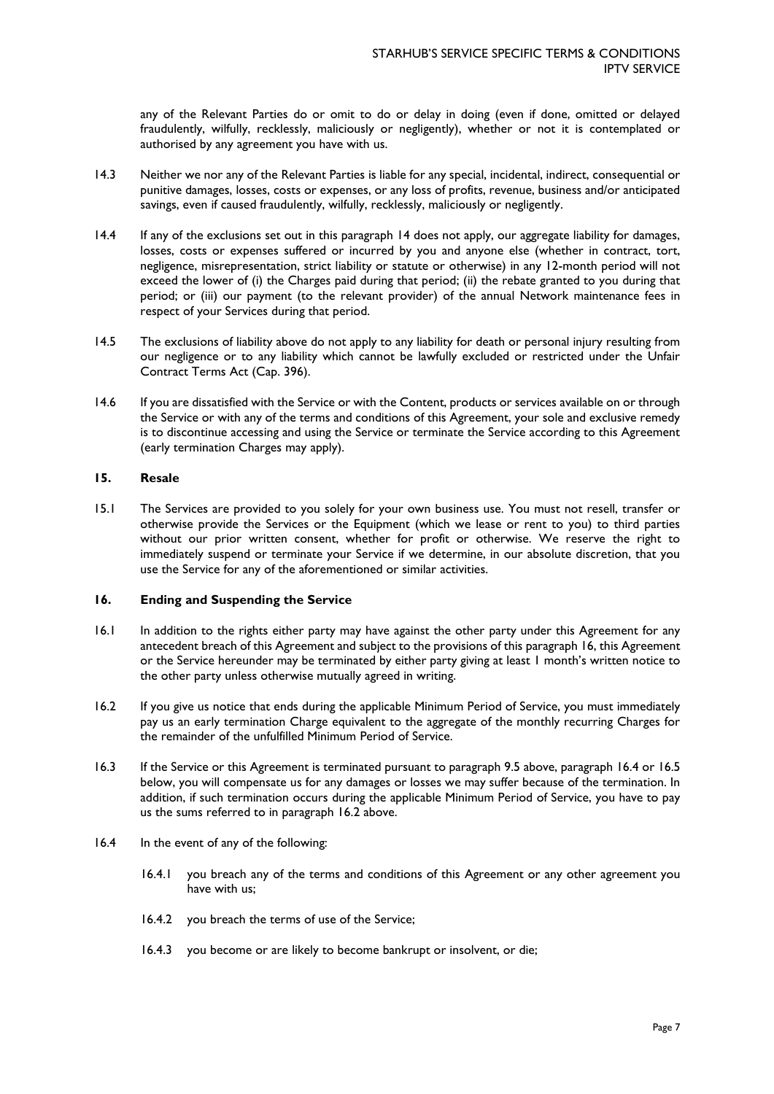any of the Relevant Parties do or omit to do or delay in doing (even if done, omitted or delayed fraudulently, wilfully, recklessly, maliciously or negligently), whether or not it is contemplated or authorised by any agreement you have with us.

- 14.3 Neither we nor any of the Relevant Parties is liable for any special, incidental, indirect, consequential or punitive damages, losses, costs or expenses, or any loss of profits, revenue, business and/or anticipated savings, even if caused fraudulently, wilfully, recklessly, maliciously or negligently.
- 14.4 If any of the exclusions set out in this paragraph 14 does not apply, our aggregate liability for damages, losses, costs or expenses suffered or incurred by you and anyone else (whether in contract, tort, negligence, misrepresentation, strict liability or statute or otherwise) in any 12-month period will not exceed the lower of (i) the Charges paid during that period; (ii) the rebate granted to you during that period; or (iii) our payment (to the relevant provider) of the annual Network maintenance fees in respect of your Services during that period.
- 14.5 The exclusions of liability above do not apply to any liability for death or personal injury resulting from our negligence or to any liability which cannot be lawfully excluded or restricted under the Unfair Contract Terms Act (Cap. 396).
- 14.6 If you are dissatisfied with the Service or with the Content, products or services available on or through the Service or with any of the terms and conditions of this Agreement, your sole and exclusive remedy is to discontinue accessing and using the Service or terminate the Service according to this Agreement (early termination Charges may apply).

### **15. Resale**

15.1 The Services are provided to you solely for your own business use. You must not resell, transfer or otherwise provide the Services or the Equipment (which we lease or rent to you) to third parties without our prior written consent, whether for profit or otherwise. We reserve the right to immediately suspend or terminate your Service if we determine, in our absolute discretion, that you use the Service for any of the aforementioned or similar activities.

### <span id="page-6-0"></span>**16. Ending and Suspending the Service**

- 16.1 In addition to the rights either party may have against the other party under this Agreement for any antecedent breach of this Agreement and subject to the provisions of this paragraph [16,](#page-6-0) this Agreement or the Service hereunder may be terminated by either party giving at least 1 month's written notice to the other party unless otherwise mutually agreed in writing.
- <span id="page-6-2"></span>16.2 If you give us notice that ends during the applicable Minimum Period of Service, you must immediately pay us an early termination Charge equivalent to the aggregate of the monthly recurring Charges for the remainder of the unfulfilled Minimum Period of Service.
- 16.3 If the Service or this Agreement is terminated pursuant to paragraph 9.5 above, paragraph [16.4](#page-6-1) or [16.5](#page-7-0) below, you will compensate us for any damages or losses we may suffer because of the termination. In addition, if such termination occurs during the applicable Minimum Period of Service, you have to pay us the sums referred to in paragraph [16.2](#page-6-2) above.
- <span id="page-6-5"></span><span id="page-6-4"></span><span id="page-6-3"></span><span id="page-6-1"></span>16.4 In the event of any of the following:
	- 16.4.1 you breach any of the terms and conditions of this Agreement or any other agreement you have with us;
	- 16.4.2 you breach the terms of use of the Service;
	- 16.4.3 you become or are likely to become bankrupt or insolvent, or die;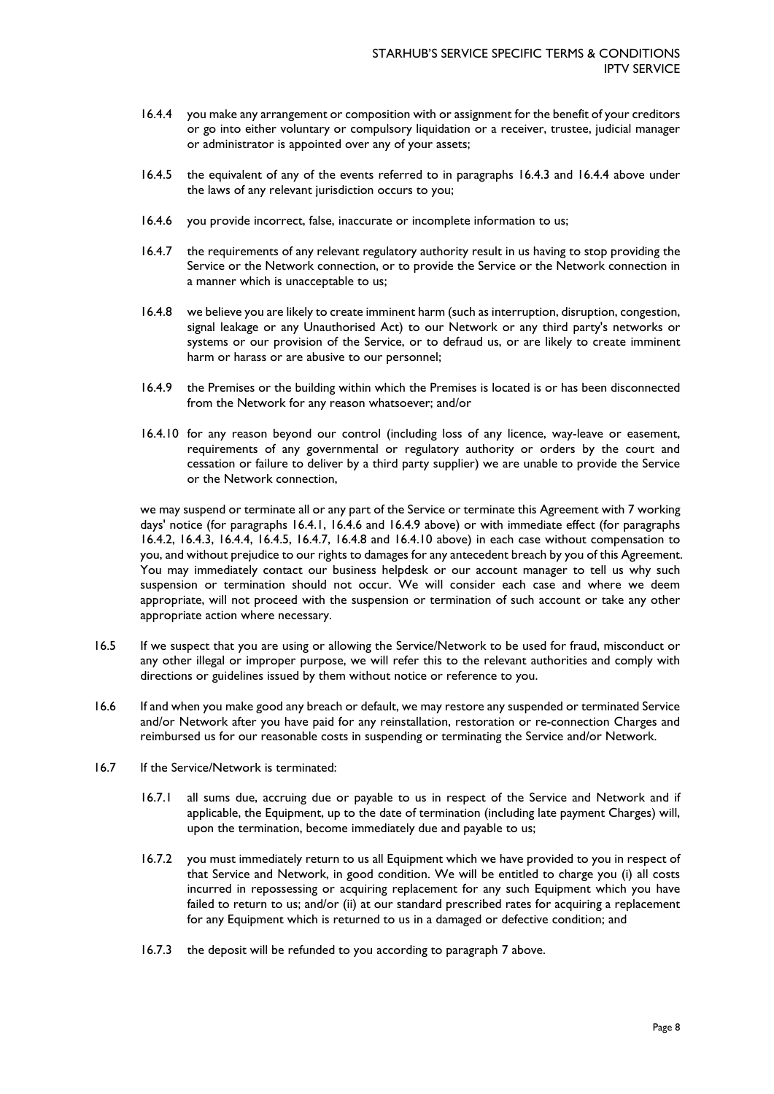- <span id="page-7-1"></span>16.4.4 you make any arrangement or composition with or assignment for the benefit of your creditors or go into either voluntary or compulsory liquidation or a receiver, trustee, judicial manager or administrator is appointed over any of your assets;
- <span id="page-7-4"></span>16.4.5 the equivalent of any of the events referred to in paragraphs [16.4.3](#page-6-3) and [16.4.4](#page-7-1) above under the laws of any relevant jurisdiction occurs to you;
- <span id="page-7-2"></span>16.4.6 you provide incorrect, false, inaccurate or incomplete information to us;
- <span id="page-7-5"></span>16.4.7 the requirements of any relevant regulatory authority result in us having to stop providing the Service or the Network connection, or to provide the Service or the Network connection in a manner which is unacceptable to us;
- <span id="page-7-6"></span>16.4.8 we believe you are likely to create imminent harm (such as interruption, disruption, congestion, signal leakage or any Unauthorised Act) to our Network or any third party's networks or systems or our provision of the Service, or to defraud us, or are likely to create imminent harm or harass or are abusive to our personnel;
- <span id="page-7-3"></span>16.4.9 the Premises or the building within which the Premises is located is or has been disconnected from the Network for any reason whatsoever; and/or
- <span id="page-7-7"></span>16.4.10 for any reason beyond our control (including loss of any licence, way-leave or easement, requirements of any governmental or regulatory authority or orders by the court and cessation or failure to deliver by a third party supplier) we are unable to provide the Service or the Network connection,

we may suspend or terminate all or any part of the Service or terminate this Agreement with 7 working days' notice (for paragraphs [16.4.1,](#page-6-4) [16.4.6](#page-7-2) and [16.4.9](#page-7-3) above) or with immediate effect (for paragraphs [16.4.2,](#page-6-5) [16.4.3,](#page-6-3) [16.4.4,](#page-7-1) [16.4.5,](#page-7-4) [16.4.7,](#page-7-5) [16.4.8](#page-7-6) and [16.4.10](#page-7-7) above) in each case without compensation to you, and without prejudice to our rights to damages for any antecedent breach by you of this Agreement. You may immediately contact our business helpdesk or our account manager to tell us why such suspension or termination should not occur. We will consider each case and where we deem appropriate, will not proceed with the suspension or termination of such account or take any other appropriate action where necessary.

- <span id="page-7-0"></span>16.5 If we suspect that you are using or allowing the Service/Network to be used for fraud, misconduct or any other illegal or improper purpose, we will refer this to the relevant authorities and comply with directions or guidelines issued by them without notice or reference to you.
- 16.6 If and when you make good any breach or default, we may restore any suspended or terminated Service and/or Network after you have paid for any reinstallation, restoration or re-connection Charges and reimbursed us for our reasonable costs in suspending or terminating the Service and/or Network.
- 16.7 If the Service/Network is terminated:
	- 16.7.1 all sums due, accruing due or payable to us in respect of the Service and Network and if applicable, the Equipment, up to the date of termination (including late payment Charges) will, upon the termination, become immediately due and payable to us;
	- 16.7.2 you must immediately return to us all Equipment which we have provided to you in respect of that Service and Network, in good condition. We will be entitled to charge you (i) all costs incurred in repossessing or acquiring replacement for any such Equipment which you have failed to return to us; and/or (ii) at our standard prescribed rates for acquiring a replacement for any Equipment which is returned to us in a damaged or defective condition; and
	- 16.7.3 the deposit will be refunded to you according to paragraph [7](#page-2-0) above.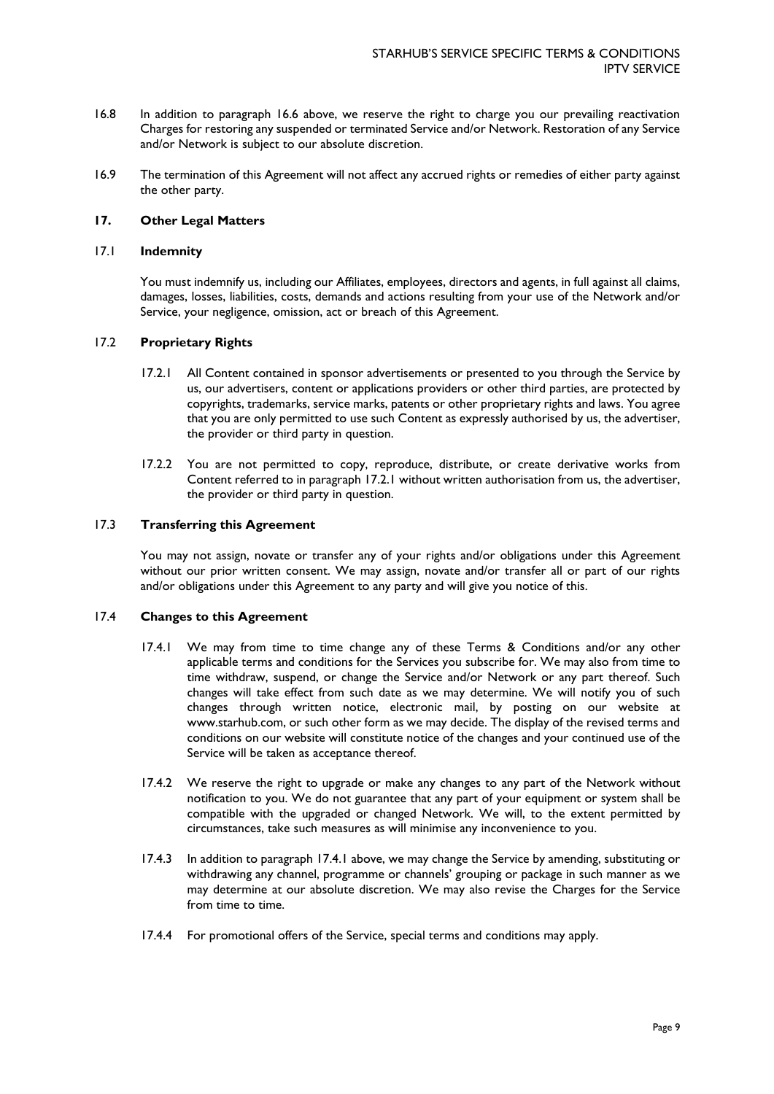- 16.8 In addition to paragraph 16.6 above, we reserve the right to charge you our prevailing reactivation Charges for restoring any suspended or terminated Service and/or Network. Restoration of any Service and/or Network is subject to our absolute discretion.
- 16.9 The termination of this Agreement will not affect any accrued rights or remedies of either party against the other party.

# **17. Other Legal Matters**

## 17.1 **Indemnity**

You must indemnify us, including our Affiliates, employees, directors and agents, in full against all claims, damages, losses, liabilities, costs, demands and actions resulting from your use of the Network and/or Service, your negligence, omission, act or breach of this Agreement.

### <span id="page-8-0"></span>17.2 **Proprietary Rights**

- 17.2.1 All Content contained in sponsor advertisements or presented to you through the Service by us, our advertisers, content or applications providers or other third parties, are protected by copyrights, trademarks, service marks, patents or other proprietary rights and laws. You agree that you are only permitted to use such Content as expressly authorised by us, the advertiser, the provider or third party in question.
- 17.2.2 You are not permitted to copy, reproduce, distribute, or create derivative works from Content referred to in paragraph [17.2.1](#page-8-0) without written authorisation from us, the advertiser, the provider or third party in question.

#### 17.3 **Transferring this Agreement**

You may not assign, novate or transfer any of your rights and/or obligations under this Agreement without our prior written consent. We may assign, novate and/or transfer all or part of our rights and/or obligations under this Agreement to any party and will give you notice of this.

### <span id="page-8-1"></span>17.4 **Changes to this Agreement**

- 17.4.1 We may from time to time change any of these Terms & Conditions and/or any other applicable terms and conditions for the Services you subscribe for. We may also from time to time withdraw, suspend, or change the Service and/or Network or any part thereof. Such changes will take effect from such date as we may determine. We will notify you of such changes through written notice, electronic mail, by posting on our website at www.starhub.com, or such other form as we may decide. The display of the revised terms and conditions on our website will constitute notice of the changes and your continued use of the Service will be taken as acceptance thereof.
- 17.4.2 We reserve the right to upgrade or make any changes to any part of the Network without notification to you. We do not guarantee that any part of your equipment or system shall be compatible with the upgraded or changed Network. We will, to the extent permitted by circumstances, take such measures as will minimise any inconvenience to you.
- 17.4.3 In addition to paragraph [17.4.1](#page-8-1) above, we may change the Service by amending, substituting or withdrawing any channel, programme or channels' grouping or package in such manner as we may determine at our absolute discretion. We may also revise the Charges for the Service from time to time.
- 17.4.4 For promotional offers of the Service, special terms and conditions may apply.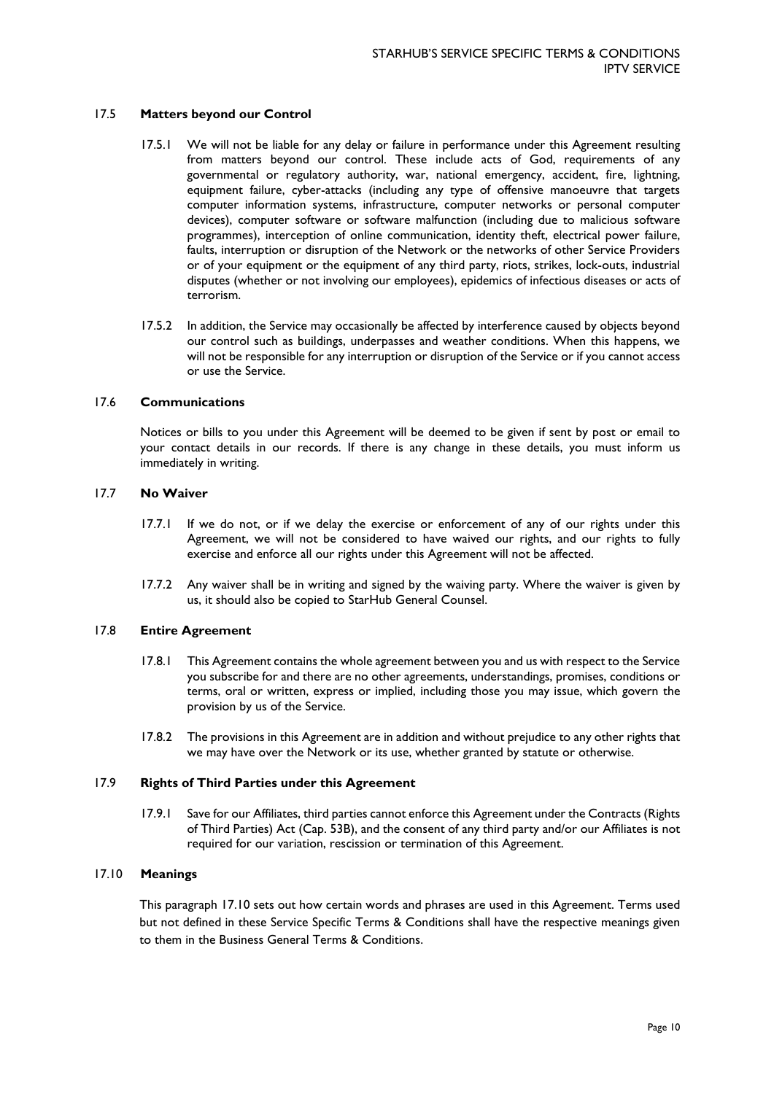#### 17.5 **Matters beyond our Control**

- 17.5.1 We will not be liable for any delay or failure in performance under this Agreement resulting from matters beyond our control. These include acts of God, requirements of any governmental or regulatory authority, war, national emergency, accident, fire, lightning, equipment failure, cyber-attacks (including any type of offensive manoeuvre that targets computer information systems, infrastructure, computer networks or personal computer devices), computer software or software malfunction (including due to malicious software programmes), interception of online communication, identity theft, electrical power failure, faults, interruption or disruption of the Network or the networks of other Service Providers or of your equipment or the equipment of any third party, riots, strikes, lock-outs, industrial disputes (whether or not involving our employees), epidemics of infectious diseases or acts of terrorism.
- 17.5.2 In addition, the Service may occasionally be affected by interference caused by objects beyond our control such as buildings, underpasses and weather conditions. When this happens, we will not be responsible for any interruption or disruption of the Service or if you cannot access or use the Service.

#### 17.6 **Communications**

Notices or bills to you under this Agreement will be deemed to be given if sent by post or email to your contact details in our records. If there is any change in these details, you must inform us immediately in writing.

#### 17.7 **No Waiver**

- 17.7.1 If we do not, or if we delay the exercise or enforcement of any of our rights under this Agreement, we will not be considered to have waived our rights, and our rights to fully exercise and enforce all our rights under this Agreement will not be affected.
- 17.7.2 Any waiver shall be in writing and signed by the waiving party. Where the waiver is given by us, it should also be copied to StarHub General Counsel.

#### 17.8 **Entire Agreement**

- 17.8.1 This Agreement contains the whole agreement between you and us with respect to the Service you subscribe for and there are no other agreements, understandings, promises, conditions or terms, oral or written, express or implied, including those you may issue, which govern the provision by us of the Service.
- 17.8.2 The provisions in this Agreement are in addition and without prejudice to any other rights that we may have over the Network or its use, whether granted by statute or otherwise.

#### 17.9 **Rights of Third Parties under this Agreement**

17.9.1 Save for our Affiliates, third parties cannot enforce this Agreement under the Contracts (Rights of Third Parties) Act (Cap. 53B), and the consent of any third party and/or our Affiliates is not required for our variation, rescission or termination of this Agreement.

### <span id="page-9-0"></span>17.10 **Meanings**

This paragraph [17.10](#page-9-0) sets out how certain words and phrases are used in this Agreement. Terms used but not defined in these Service Specific Terms & Conditions shall have the respective meanings given to them in the Business General Terms & Conditions.